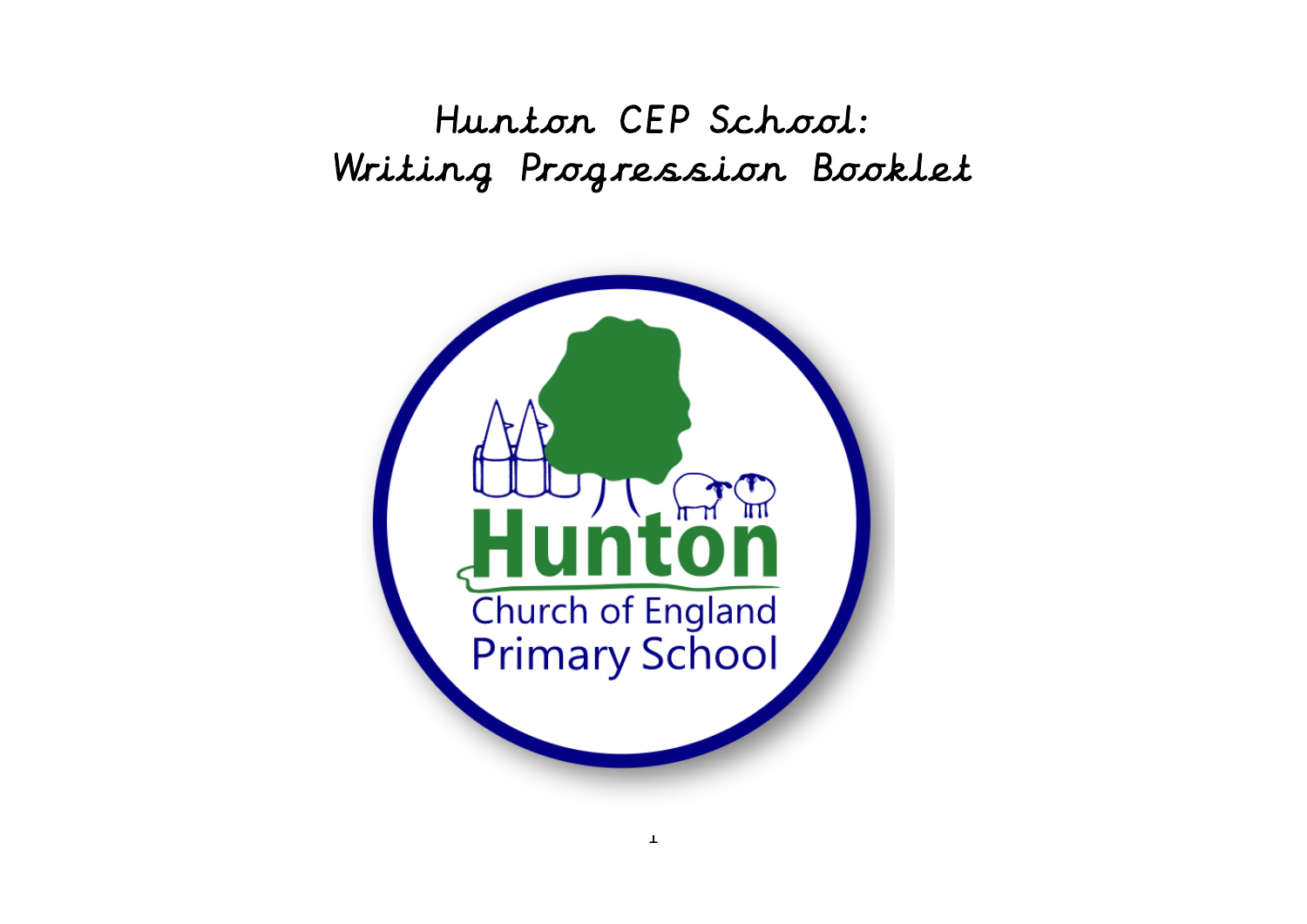Hunton CEP School: Writing Progression Booklet

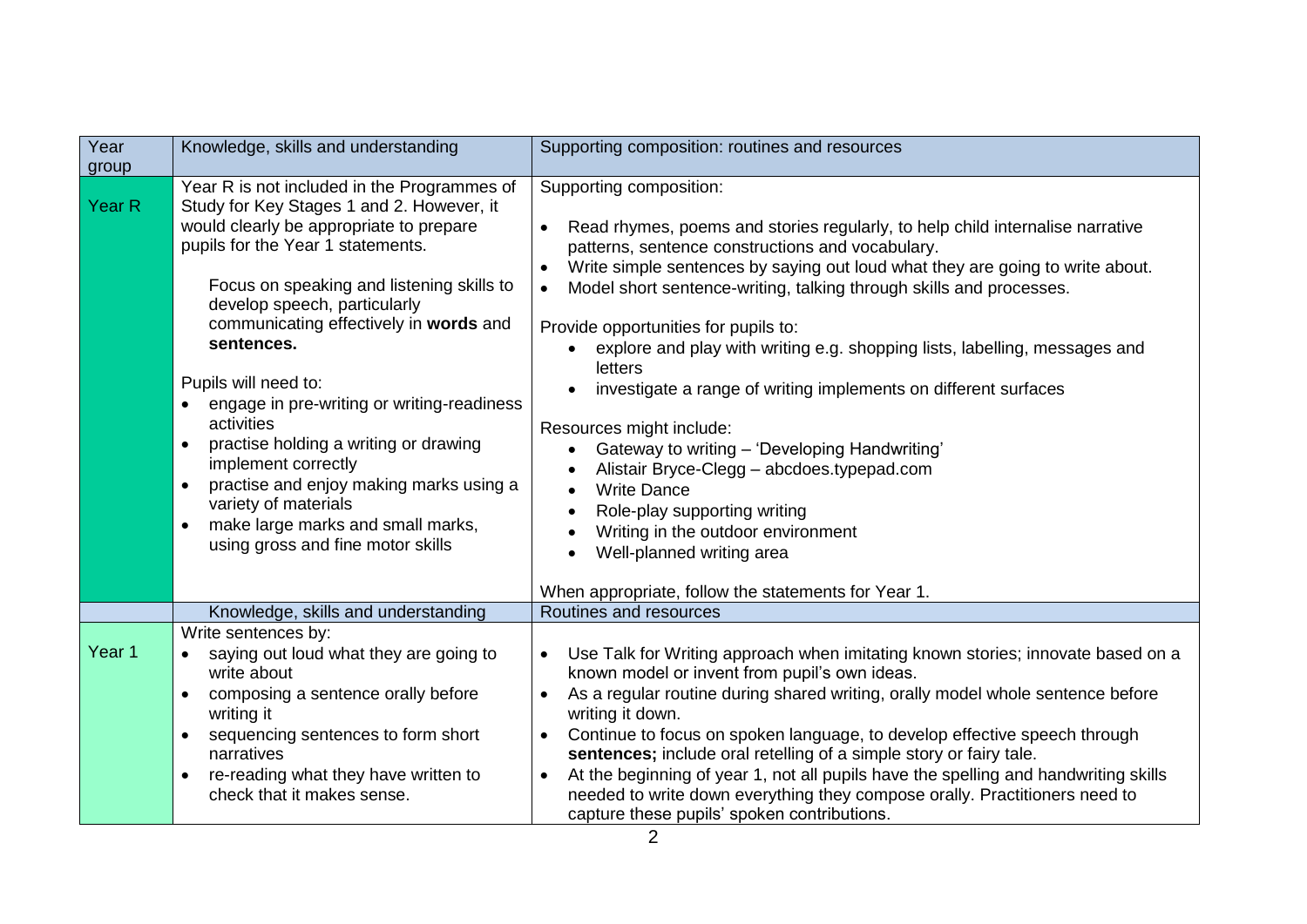| Year          | Knowledge, skills and understanding                                                                                                                                                                                                                                                                                                                                                                                                                                                                                                                                                                                                      | Supporting composition: routines and resources                                                                                                                                                                                                                                                                                                                                                                                                                                                                                                                                                                                                                                                                                                                                            |
|---------------|------------------------------------------------------------------------------------------------------------------------------------------------------------------------------------------------------------------------------------------------------------------------------------------------------------------------------------------------------------------------------------------------------------------------------------------------------------------------------------------------------------------------------------------------------------------------------------------------------------------------------------------|-------------------------------------------------------------------------------------------------------------------------------------------------------------------------------------------------------------------------------------------------------------------------------------------------------------------------------------------------------------------------------------------------------------------------------------------------------------------------------------------------------------------------------------------------------------------------------------------------------------------------------------------------------------------------------------------------------------------------------------------------------------------------------------------|
| group         |                                                                                                                                                                                                                                                                                                                                                                                                                                                                                                                                                                                                                                          |                                                                                                                                                                                                                                                                                                                                                                                                                                                                                                                                                                                                                                                                                                                                                                                           |
| <b>Year R</b> | Year R is not included in the Programmes of<br>Study for Key Stages 1 and 2. However, it<br>would clearly be appropriate to prepare<br>pupils for the Year 1 statements.<br>Focus on speaking and listening skills to<br>develop speech, particularly<br>communicating effectively in words and<br>sentences.<br>Pupils will need to:<br>engage in pre-writing or writing-readiness<br>activities<br>practise holding a writing or drawing<br>$\bullet$<br>implement correctly<br>practise and enjoy making marks using a<br>variety of materials<br>make large marks and small marks,<br>$\bullet$<br>using gross and fine motor skills | Supporting composition:<br>Read rhymes, poems and stories regularly, to help child internalise narrative<br>$\bullet$<br>patterns, sentence constructions and vocabulary.<br>Write simple sentences by saying out loud what they are going to write about.<br>Model short sentence-writing, talking through skills and processes.<br>Provide opportunities for pupils to:<br>explore and play with writing e.g. shopping lists, labelling, messages and<br>letters<br>investigate a range of writing implements on different surfaces<br>Resources might include:<br>Gateway to writing - 'Developing Handwriting'<br>Alistair Bryce-Clegg - abcdoes.typepad.com<br><b>Write Dance</b><br>Role-play supporting writing<br>Writing in the outdoor environment<br>Well-planned writing area |
|               |                                                                                                                                                                                                                                                                                                                                                                                                                                                                                                                                                                                                                                          | When appropriate, follow the statements for Year 1.                                                                                                                                                                                                                                                                                                                                                                                                                                                                                                                                                                                                                                                                                                                                       |
|               | Knowledge, skills and understanding                                                                                                                                                                                                                                                                                                                                                                                                                                                                                                                                                                                                      | Routines and resources                                                                                                                                                                                                                                                                                                                                                                                                                                                                                                                                                                                                                                                                                                                                                                    |
|               | Write sentences by:                                                                                                                                                                                                                                                                                                                                                                                                                                                                                                                                                                                                                      |                                                                                                                                                                                                                                                                                                                                                                                                                                                                                                                                                                                                                                                                                                                                                                                           |
| Year 1        | saying out loud what they are going to<br>write about<br>composing a sentence orally before<br>$\bullet$<br>writing it                                                                                                                                                                                                                                                                                                                                                                                                                                                                                                                   | Use Talk for Writing approach when imitating known stories; innovate based on a<br>known model or invent from pupil's own ideas.<br>As a regular routine during shared writing, orally model whole sentence before<br>$\bullet$<br>writing it down.                                                                                                                                                                                                                                                                                                                                                                                                                                                                                                                                       |
|               | sequencing sentences to form short<br>$\bullet$<br>narratives<br>re-reading what they have written to<br>$\bullet$<br>check that it makes sense.                                                                                                                                                                                                                                                                                                                                                                                                                                                                                         | Continue to focus on spoken language, to develop effective speech through<br>sentences; include oral retelling of a simple story or fairy tale.<br>At the beginning of year 1, not all pupils have the spelling and handwriting skills<br>$\bullet$<br>needed to write down everything they compose orally. Practitioners need to<br>capture these pupils' spoken contributions.                                                                                                                                                                                                                                                                                                                                                                                                          |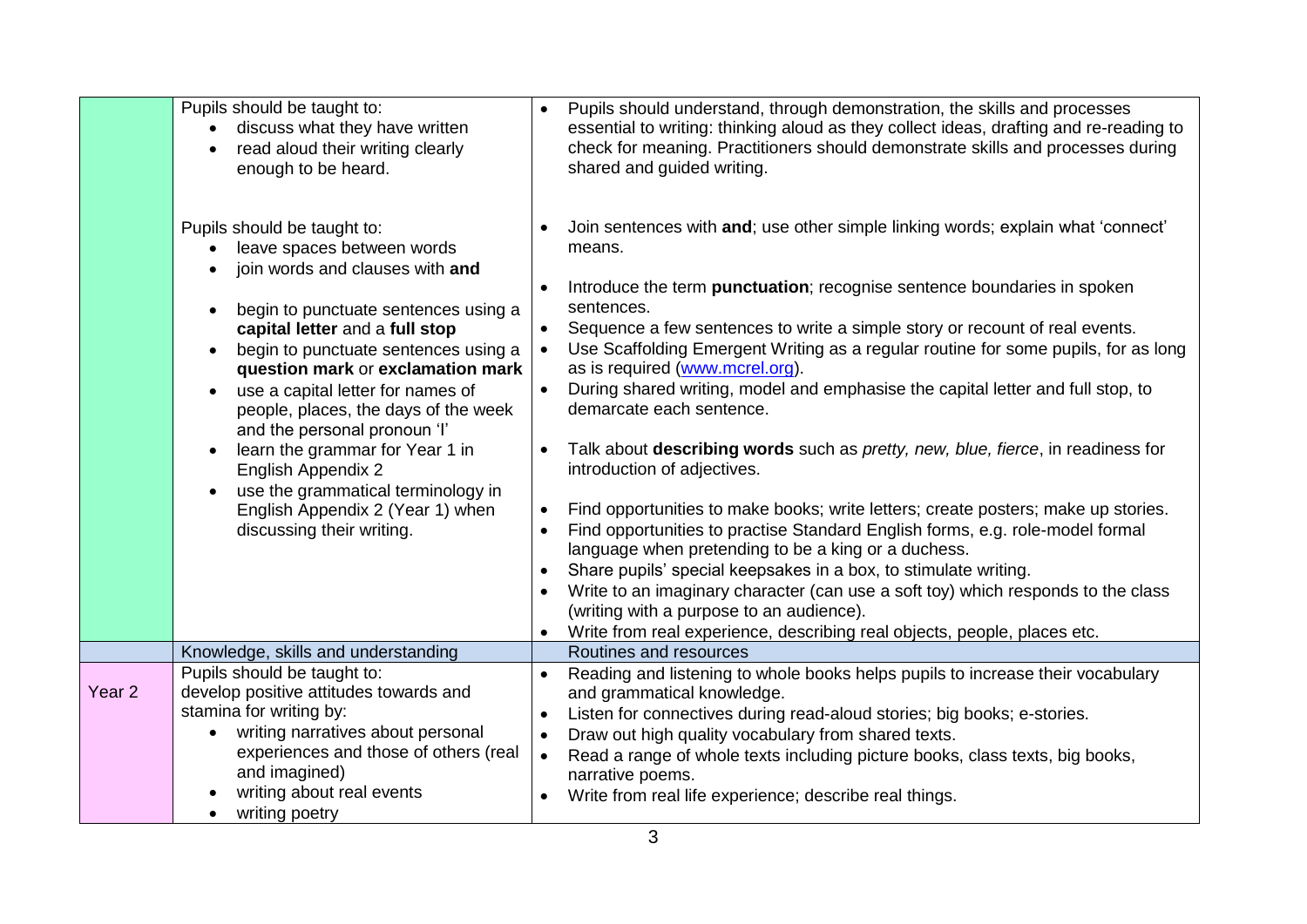|                   | Pupils should be taught to:<br>discuss what they have written<br>$\bullet$<br>read aloud their writing clearly<br>enough to be heard.                                                                                                                                                                                                                                                                                                                                                                                                                                          | $\bullet$                           | Pupils should understand, through demonstration, the skills and processes<br>essential to writing: thinking aloud as they collect ideas, drafting and re-reading to<br>check for meaning. Practitioners should demonstrate skills and processes during<br>shared and guided writing.                                                                                                                                                                                                                                                                                                                                                                                                                                                                                                                                                                                                                                                                                                                                                                                |
|-------------------|--------------------------------------------------------------------------------------------------------------------------------------------------------------------------------------------------------------------------------------------------------------------------------------------------------------------------------------------------------------------------------------------------------------------------------------------------------------------------------------------------------------------------------------------------------------------------------|-------------------------------------|---------------------------------------------------------------------------------------------------------------------------------------------------------------------------------------------------------------------------------------------------------------------------------------------------------------------------------------------------------------------------------------------------------------------------------------------------------------------------------------------------------------------------------------------------------------------------------------------------------------------------------------------------------------------------------------------------------------------------------------------------------------------------------------------------------------------------------------------------------------------------------------------------------------------------------------------------------------------------------------------------------------------------------------------------------------------|
|                   | Pupils should be taught to:<br>leave spaces between words<br>join words and clauses with and<br>begin to punctuate sentences using a<br>$\bullet$<br>capital letter and a full stop<br>begin to punctuate sentences using a<br>$\bullet$<br>question mark or exclamation mark<br>use a capital letter for names of<br>$\bullet$<br>people, places, the days of the week<br>and the personal pronoun 'I'<br>learn the grammar for Year 1 in<br><b>English Appendix 2</b><br>use the grammatical terminology in<br>English Appendix 2 (Year 1) when<br>discussing their writing. | $\bullet$<br>$\bullet$              | Join sentences with and; use other simple linking words; explain what 'connect'<br>means.<br>Introduce the term punctuation; recognise sentence boundaries in spoken<br>sentences.<br>Sequence a few sentences to write a simple story or recount of real events.<br>Use Scaffolding Emergent Writing as a regular routine for some pupils, for as long<br>as is required (www.mcrel.org).<br>During shared writing, model and emphasise the capital letter and full stop, to<br>demarcate each sentence.<br>Talk about describing words such as <i>pretty, new, blue, fierce</i> , in readiness for<br>introduction of adjectives.<br>Find opportunities to make books; write letters; create posters; make up stories.<br>Find opportunities to practise Standard English forms, e.g. role-model formal<br>language when pretending to be a king or a duchess.<br>Share pupils' special keepsakes in a box, to stimulate writing.<br>Write to an imaginary character (can use a soft toy) which responds to the class<br>(writing with a purpose to an audience). |
|                   |                                                                                                                                                                                                                                                                                                                                                                                                                                                                                                                                                                                |                                     | Write from real experience, describing real objects, people, places etc.                                                                                                                                                                                                                                                                                                                                                                                                                                                                                                                                                                                                                                                                                                                                                                                                                                                                                                                                                                                            |
|                   | Knowledge, skills and understanding<br>Pupils should be taught to:                                                                                                                                                                                                                                                                                                                                                                                                                                                                                                             |                                     | Routines and resources<br>Reading and listening to whole books helps pupils to increase their vocabulary                                                                                                                                                                                                                                                                                                                                                                                                                                                                                                                                                                                                                                                                                                                                                                                                                                                                                                                                                            |
| Year <sub>2</sub> | develop positive attitudes towards and<br>stamina for writing by:<br>writing narratives about personal<br>$\bullet$<br>experiences and those of others (real<br>and imagined)                                                                                                                                                                                                                                                                                                                                                                                                  | $\bullet$<br>$\bullet$<br>$\bullet$ | and grammatical knowledge.<br>Listen for connectives during read-aloud stories; big books; e-stories.<br>Draw out high quality vocabulary from shared texts.<br>Read a range of whole texts including picture books, class texts, big books,                                                                                                                                                                                                                                                                                                                                                                                                                                                                                                                                                                                                                                                                                                                                                                                                                        |
|                   | writing about real events<br>writing poetry<br>$\bullet$                                                                                                                                                                                                                                                                                                                                                                                                                                                                                                                       |                                     | narrative poems.<br>Write from real life experience; describe real things.                                                                                                                                                                                                                                                                                                                                                                                                                                                                                                                                                                                                                                                                                                                                                                                                                                                                                                                                                                                          |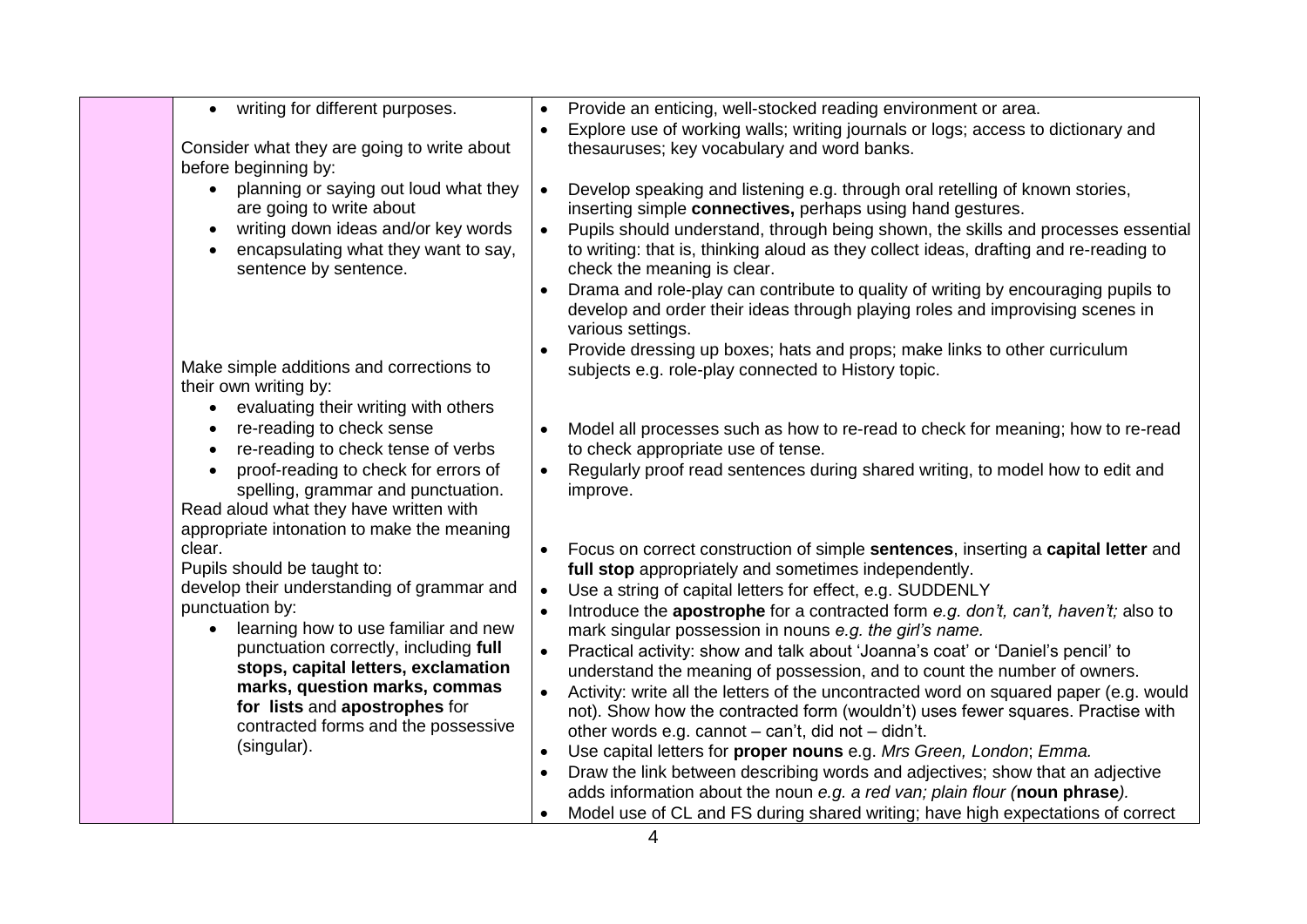| • writing for different purposes.<br>Consider what they are going to write about<br>before beginning by:<br>planning or saying out loud what they<br>$\bullet$<br>are going to write about<br>writing down ideas and/or key words<br>encapsulating what they want to say,<br>sentence by sentence.                                                                                                   | $\bullet$<br>$\bullet$<br>$\bullet$                           | Provide an enticing, well-stocked reading environment or area.<br>Explore use of working walls; writing journals or logs; access to dictionary and<br>thesauruses; key vocabulary and word banks.<br>Develop speaking and listening e.g. through oral retelling of known stories,<br>inserting simple connectives, perhaps using hand gestures.<br>Pupils should understand, through being shown, the skills and processes essential<br>to writing: that is, thinking aloud as they collect ideas, drafting and re-reading to<br>check the meaning is clear.<br>Drama and role-play can contribute to quality of writing by encouraging pupils to                                                                                                                                                                                                                                                                                                                                                                                                                                |
|------------------------------------------------------------------------------------------------------------------------------------------------------------------------------------------------------------------------------------------------------------------------------------------------------------------------------------------------------------------------------------------------------|---------------------------------------------------------------|----------------------------------------------------------------------------------------------------------------------------------------------------------------------------------------------------------------------------------------------------------------------------------------------------------------------------------------------------------------------------------------------------------------------------------------------------------------------------------------------------------------------------------------------------------------------------------------------------------------------------------------------------------------------------------------------------------------------------------------------------------------------------------------------------------------------------------------------------------------------------------------------------------------------------------------------------------------------------------------------------------------------------------------------------------------------------------|
| Make simple additions and corrections to<br>their own writing by:<br>evaluating their writing with others<br>re-reading to check sense<br>$\bullet$<br>re-reading to check tense of verbs<br>proof-reading to check for errors of<br>$\bullet$<br>spelling, grammar and punctuation.<br>Read aloud what they have written with                                                                       | $\bullet$                                                     | develop and order their ideas through playing roles and improvising scenes in<br>various settings.<br>Provide dressing up boxes; hats and props; make links to other curriculum<br>subjects e.g. role-play connected to History topic.<br>Model all processes such as how to re-read to check for meaning; how to re-read<br>to check appropriate use of tense.<br>Regularly proof read sentences during shared writing, to model how to edit and<br>improve.                                                                                                                                                                                                                                                                                                                                                                                                                                                                                                                                                                                                                    |
| appropriate intonation to make the meaning<br>clear.<br>Pupils should be taught to:<br>develop their understanding of grammar and<br>punctuation by:<br>learning how to use familiar and new<br>punctuation correctly, including full<br>stops, capital letters, exclamation<br>marks, question marks, commas<br>for lists and apostrophes for<br>contracted forms and the possessive<br>(singular). | $\bullet$<br>$\bullet$<br>$\bullet$<br>$\bullet$<br>$\bullet$ | Focus on correct construction of simple sentences, inserting a capital letter and<br>full stop appropriately and sometimes independently.<br>Use a string of capital letters for effect, e.g. SUDDENLY<br>Introduce the apostrophe for a contracted form e.g. don't, can't, haven't; also to<br>mark singular possession in nouns e.g. the girl's name.<br>Practical activity: show and talk about 'Joanna's coat' or 'Daniel's pencil' to<br>understand the meaning of possession, and to count the number of owners.<br>Activity: write all the letters of the uncontracted word on squared paper (e.g. would<br>not). Show how the contracted form (wouldn't) uses fewer squares. Practise with<br>other words e.g. cannot - can't, did not - didn't.<br>Use capital letters for proper nouns e.g. Mrs Green, London; Emma.<br>Draw the link between describing words and adjectives; show that an adjective<br>adds information about the noun e.g. a red van; plain flour (noun phrase).<br>Model use of CL and FS during shared writing; have high expectations of correct |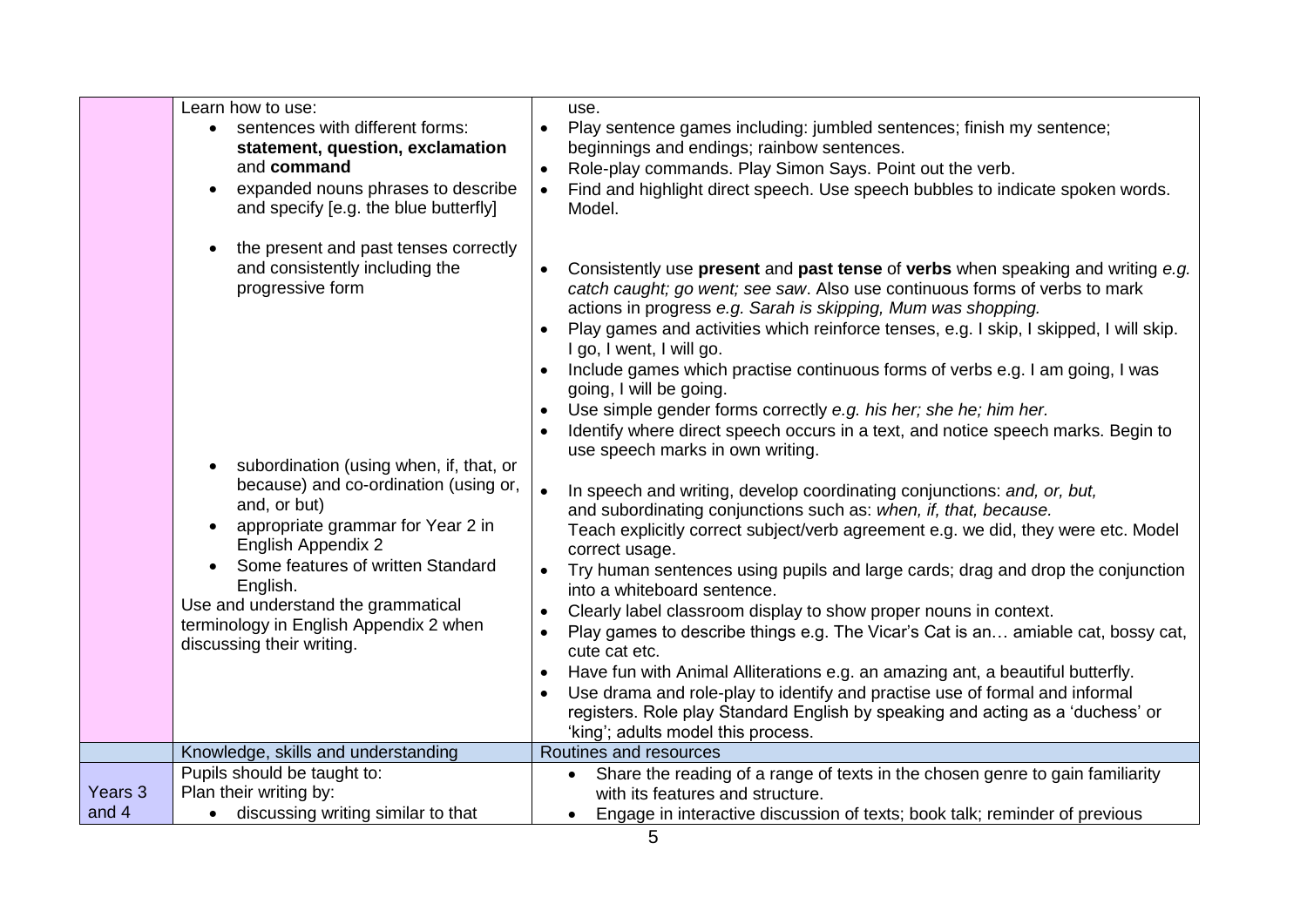|         | Learn how to use:<br>sentences with different forms:<br>statement, question, exclamation<br>and command<br>expanded nouns phrases to describe<br>and specify [e.g. the blue butterfly]                                                                                         | use.<br>Play sentence games including: jumbled sentences; finish my sentence;<br>beginnings and endings; rainbow sentences.<br>Role-play commands. Play Simon Says. Point out the verb.<br>Find and highlight direct speech. Use speech bubbles to indicate spoken words.<br>Model.                                                                                                                                                                                                                                                                                                                                                                                                                                         |
|---------|--------------------------------------------------------------------------------------------------------------------------------------------------------------------------------------------------------------------------------------------------------------------------------|-----------------------------------------------------------------------------------------------------------------------------------------------------------------------------------------------------------------------------------------------------------------------------------------------------------------------------------------------------------------------------------------------------------------------------------------------------------------------------------------------------------------------------------------------------------------------------------------------------------------------------------------------------------------------------------------------------------------------------|
|         | the present and past tenses correctly<br>and consistently including the<br>progressive form<br>subordination (using when, if, that, or                                                                                                                                         | Consistently use present and past tense of verbs when speaking and writing e.g.<br>catch caught; go went; see saw. Also use continuous forms of verbs to mark<br>actions in progress e.g. Sarah is skipping, Mum was shopping.<br>Play games and activities which reinforce tenses, e.g. I skip, I skipped, I will skip.<br>I go, I went, I will go.<br>Include games which practise continuous forms of verbs e.g. I am going, I was<br>going, I will be going.<br>Use simple gender forms correctly e.g. his her; she he; him her.<br>Identify where direct speech occurs in a text, and notice speech marks. Begin to<br>use speech marks in own writing.                                                                |
|         | because) and co-ordination (using or,<br>and, or but)<br>appropriate grammar for Year 2 in<br>English Appendix 2<br>Some features of written Standard<br>English.<br>Use and understand the grammatical<br>terminology in English Appendix 2 when<br>discussing their writing. | In speech and writing, develop coordinating conjunctions: and, or, but,<br>$\bullet$<br>and subordinating conjunctions such as: when, if, that, because.<br>Teach explicitly correct subject/verb agreement e.g. we did, they were etc. Model<br>correct usage.<br>Try human sentences using pupils and large cards; drag and drop the conjunction<br>into a whiteboard sentence.<br>Clearly label classroom display to show proper nouns in context.<br>Play games to describe things e.g. The Vicar's Cat is an amiable cat, bossy cat,<br>cute cat etc.<br>Have fun with Animal Alliterations e.g. an amazing ant, a beautiful butterfly.<br>Use drama and role-play to identify and practise use of formal and informal |
|         |                                                                                                                                                                                                                                                                                | registers. Role play Standard English by speaking and acting as a 'duchess' or<br>'king'; adults model this process.                                                                                                                                                                                                                                                                                                                                                                                                                                                                                                                                                                                                        |
|         | Knowledge, skills and understanding                                                                                                                                                                                                                                            | Routines and resources                                                                                                                                                                                                                                                                                                                                                                                                                                                                                                                                                                                                                                                                                                      |
|         | Pupils should be taught to:                                                                                                                                                                                                                                                    | Share the reading of a range of texts in the chosen genre to gain familiarity                                                                                                                                                                                                                                                                                                                                                                                                                                                                                                                                                                                                                                               |
| Years 3 | Plan their writing by:                                                                                                                                                                                                                                                         | with its features and structure.                                                                                                                                                                                                                                                                                                                                                                                                                                                                                                                                                                                                                                                                                            |
| and 4   | discussing writing similar to that<br>$\bullet$                                                                                                                                                                                                                                | Engage in interactive discussion of texts; book talk; reminder of previous                                                                                                                                                                                                                                                                                                                                                                                                                                                                                                                                                                                                                                                  |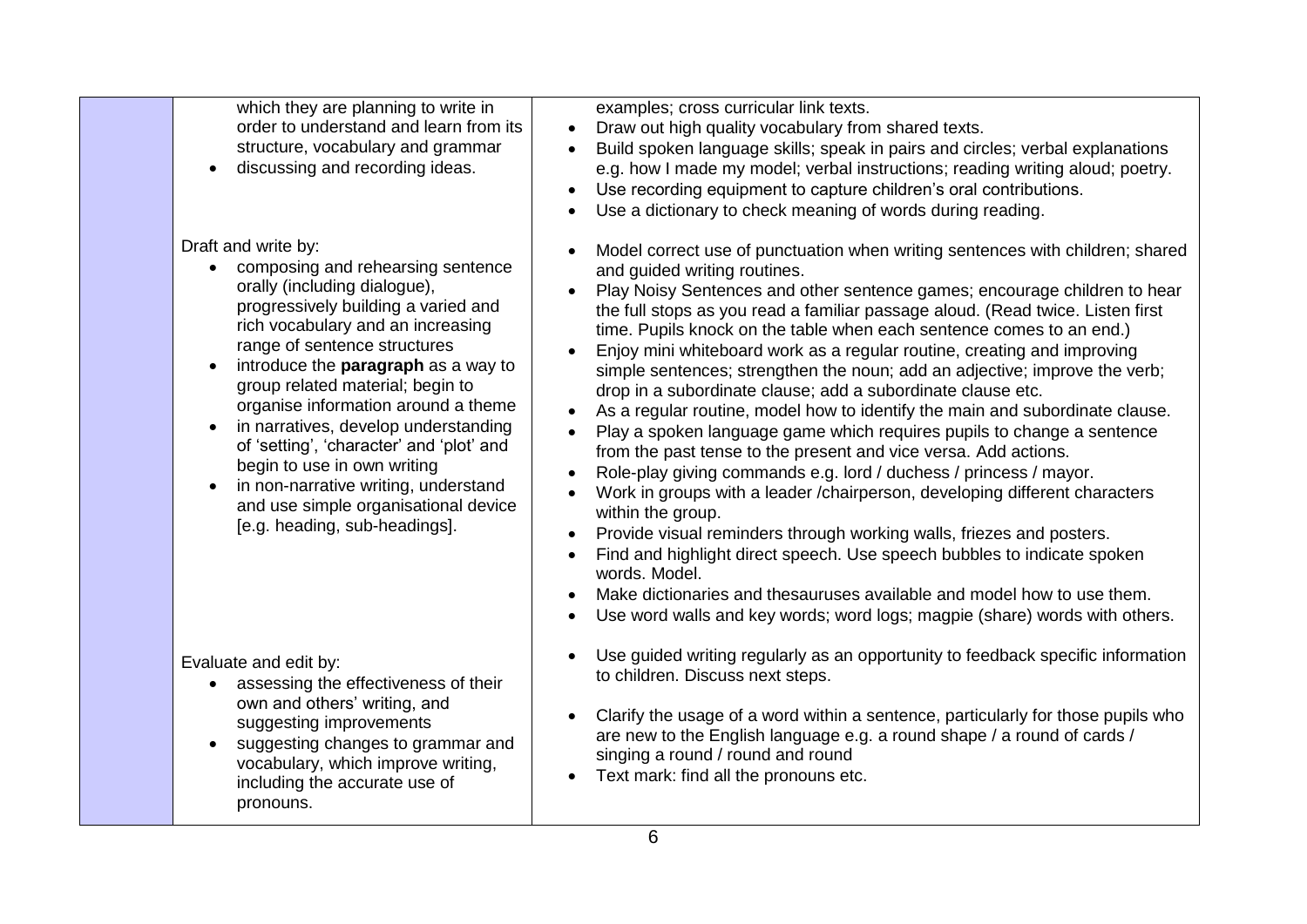| which they are planning to write in<br>order to understand and learn from its<br>structure, vocabulary and grammar<br>discussing and recording ideas.                                                                                                                                                                                                                                                                                                                                                                                                               | examples; cross curricular link texts.<br>Draw out high quality vocabulary from shared texts.<br>$\bullet$<br>Build spoken language skills; speak in pairs and circles; verbal explanations<br>e.g. how I made my model; verbal instructions; reading writing aloud; poetry.<br>Use recording equipment to capture children's oral contributions.<br>Use a dictionary to check meaning of words during reading.                                                                                                                                                                                                                                                                                                                                                                                                                                                                                                                                                                                                                                                                                                                                                                                                                                                                                                                                                    |
|---------------------------------------------------------------------------------------------------------------------------------------------------------------------------------------------------------------------------------------------------------------------------------------------------------------------------------------------------------------------------------------------------------------------------------------------------------------------------------------------------------------------------------------------------------------------|--------------------------------------------------------------------------------------------------------------------------------------------------------------------------------------------------------------------------------------------------------------------------------------------------------------------------------------------------------------------------------------------------------------------------------------------------------------------------------------------------------------------------------------------------------------------------------------------------------------------------------------------------------------------------------------------------------------------------------------------------------------------------------------------------------------------------------------------------------------------------------------------------------------------------------------------------------------------------------------------------------------------------------------------------------------------------------------------------------------------------------------------------------------------------------------------------------------------------------------------------------------------------------------------------------------------------------------------------------------------|
| Draft and write by:<br>• composing and rehearsing sentence<br>orally (including dialogue),<br>progressively building a varied and<br>rich vocabulary and an increasing<br>range of sentence structures<br>introduce the <b>paragraph</b> as a way to<br>group related material; begin to<br>organise information around a theme<br>in narratives, develop understanding<br>of 'setting', 'character' and 'plot' and<br>begin to use in own writing<br>in non-narrative writing, understand<br>and use simple organisational device<br>[e.g. heading, sub-headings]. | Model correct use of punctuation when writing sentences with children; shared<br>and guided writing routines.<br>Play Noisy Sentences and other sentence games; encourage children to hear<br>the full stops as you read a familiar passage aloud. (Read twice. Listen first<br>time. Pupils knock on the table when each sentence comes to an end.)<br>Enjoy mini whiteboard work as a regular routine, creating and improving<br>$\bullet$<br>simple sentences; strengthen the noun; add an adjective; improve the verb;<br>drop in a subordinate clause; add a subordinate clause etc.<br>As a regular routine, model how to identify the main and subordinate clause.<br>$\bullet$<br>Play a spoken language game which requires pupils to change a sentence<br>from the past tense to the present and vice versa. Add actions.<br>Role-play giving commands e.g. lord / duchess / princess / mayor.<br>Work in groups with a leader / chairperson, developing different characters<br>within the group.<br>Provide visual reminders through working walls, friezes and posters.<br>$\bullet$<br>Find and highlight direct speech. Use speech bubbles to indicate spoken<br>$\bullet$<br>words. Model.<br>Make dictionaries and thesauruses available and model how to use them.<br>Use word walls and key words; word logs; magpie (share) words with others. |
| Evaluate and edit by:<br>assessing the effectiveness of their<br>own and others' writing, and<br>suggesting improvements<br>suggesting changes to grammar and<br>vocabulary, which improve writing,<br>including the accurate use of<br>pronouns.                                                                                                                                                                                                                                                                                                                   | Use guided writing regularly as an opportunity to feedback specific information<br>to children. Discuss next steps.<br>Clarify the usage of a word within a sentence, particularly for those pupils who<br>are new to the English language e.g. a round shape / a round of cards /<br>singing a round / round and round<br>Text mark: find all the pronouns etc.                                                                                                                                                                                                                                                                                                                                                                                                                                                                                                                                                                                                                                                                                                                                                                                                                                                                                                                                                                                                   |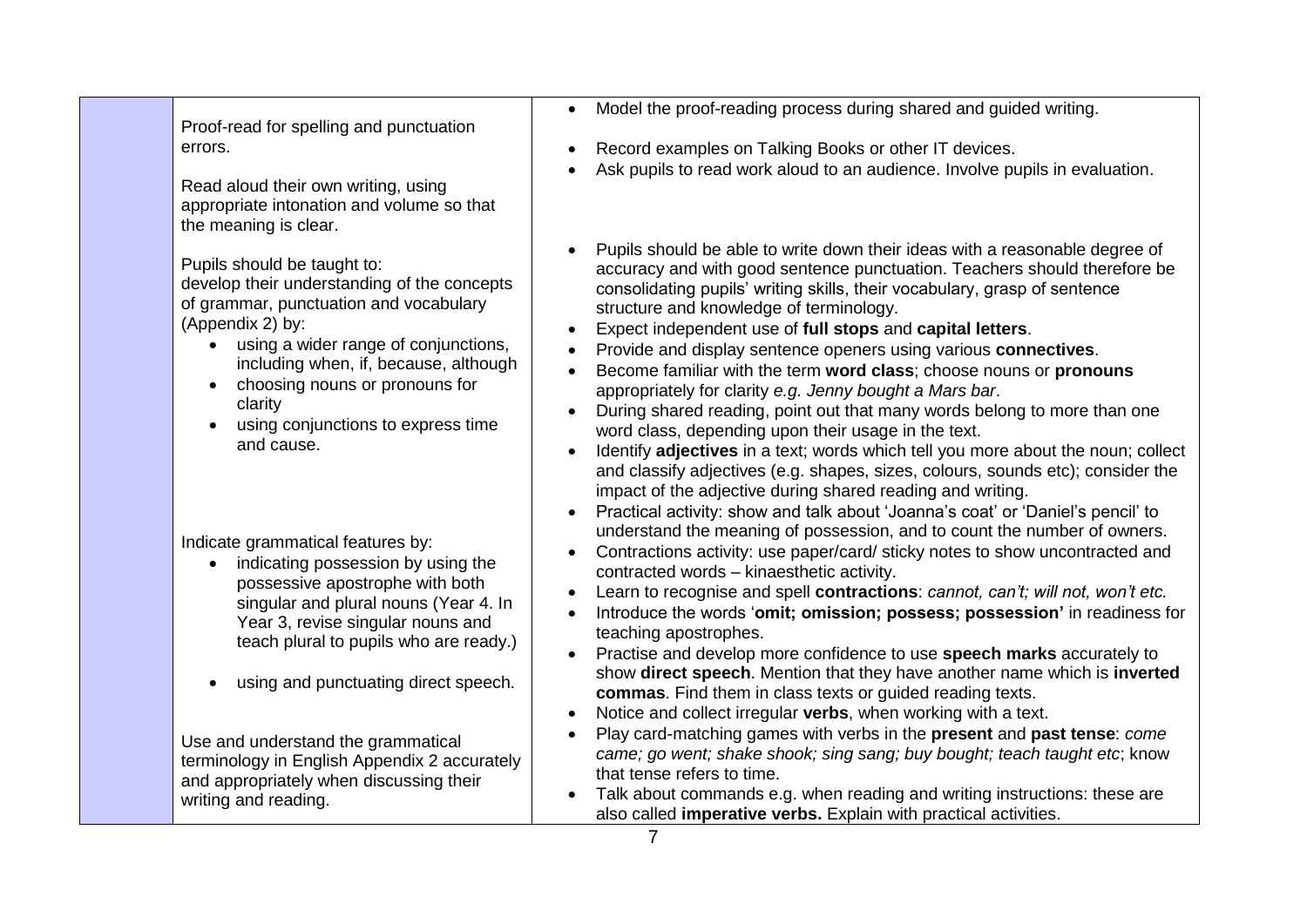| Proof-read for spelling and punctuation                                                                                                                                                                                                                                                                                                              | Model the proof-reading process during shared and guided writing.                                                                                                                                                                                                                                                                                                                                                                                                                                                                                                                                                                                                                                                                                                                                                                                                                                                                                                                                                                                   |
|------------------------------------------------------------------------------------------------------------------------------------------------------------------------------------------------------------------------------------------------------------------------------------------------------------------------------------------------------|-----------------------------------------------------------------------------------------------------------------------------------------------------------------------------------------------------------------------------------------------------------------------------------------------------------------------------------------------------------------------------------------------------------------------------------------------------------------------------------------------------------------------------------------------------------------------------------------------------------------------------------------------------------------------------------------------------------------------------------------------------------------------------------------------------------------------------------------------------------------------------------------------------------------------------------------------------------------------------------------------------------------------------------------------------|
| errors.                                                                                                                                                                                                                                                                                                                                              | Record examples on Talking Books or other IT devices.                                                                                                                                                                                                                                                                                                                                                                                                                                                                                                                                                                                                                                                                                                                                                                                                                                                                                                                                                                                               |
| Read aloud their own writing, using<br>appropriate intonation and volume so that<br>the meaning is clear.                                                                                                                                                                                                                                            | Ask pupils to read work aloud to an audience. Involve pupils in evaluation.                                                                                                                                                                                                                                                                                                                                                                                                                                                                                                                                                                                                                                                                                                                                                                                                                                                                                                                                                                         |
| Pupils should be taught to:<br>develop their understanding of the concepts<br>of grammar, punctuation and vocabulary<br>(Appendix 2) by:<br>using a wider range of conjunctions,<br>including when, if, because, although<br>choosing nouns or pronouns for<br>$\bullet$<br>clarity<br>using conjunctions to express time<br>$\bullet$<br>and cause. | Pupils should be able to write down their ideas with a reasonable degree of<br>$\bullet$<br>accuracy and with good sentence punctuation. Teachers should therefore be<br>consolidating pupils' writing skills, their vocabulary, grasp of sentence<br>structure and knowledge of terminology.<br>Expect independent use of full stops and capital letters.<br>$\bullet$<br>Provide and display sentence openers using various connectives.<br>Become familiar with the term word class; choose nouns or pronouns<br>appropriately for clarity e.g. Jenny bought a Mars bar.<br>During shared reading, point out that many words belong to more than one<br>word class, depending upon their usage in the text.<br>Identify adjectives in a text; words which tell you more about the noun; collect<br>$\bullet$<br>and classify adjectives (e.g. shapes, sizes, colours, sounds etc); consider the<br>impact of the adjective during shared reading and writing.<br>Practical activity: show and talk about 'Joanna's coat' or 'Daniel's pencil' to |
| Indicate grammatical features by:<br>indicating possession by using the<br>possessive apostrophe with both<br>singular and plural nouns (Year 4. In<br>Year 3, revise singular nouns and<br>teach plural to pupils who are ready.)<br>using and punctuating direct speech.<br>$\bullet$                                                              | $\bullet$<br>understand the meaning of possession, and to count the number of owners.<br>Contractions activity: use paper/card/ sticky notes to show uncontracted and<br>$\bullet$<br>contracted words - kinaesthetic activity.<br>Learn to recognise and spell contractions: cannot, can't; will not, won't etc.<br>$\bullet$<br>Introduce the words 'omit; omission; possess; possession' in readiness for<br>teaching apostrophes.<br>Practise and develop more confidence to use speech marks accurately to<br>show direct speech. Mention that they have another name which is inverted<br>commas. Find them in class texts or guided reading texts.<br>Notice and collect irregular verbs, when working with a text.<br>$\bullet$                                                                                                                                                                                                                                                                                                             |
| Use and understand the grammatical<br>terminology in English Appendix 2 accurately<br>and appropriately when discussing their<br>writing and reading.                                                                                                                                                                                                | Play card-matching games with verbs in the present and past tense: come<br>came; go went; shake shook; sing sang; buy bought; teach taught etc; know<br>that tense refers to time.<br>Talk about commands e.g. when reading and writing instructions: these are<br>also called <i>imperative verbs</i> . Explain with practical activities.                                                                                                                                                                                                                                                                                                                                                                                                                                                                                                                                                                                                                                                                                                         |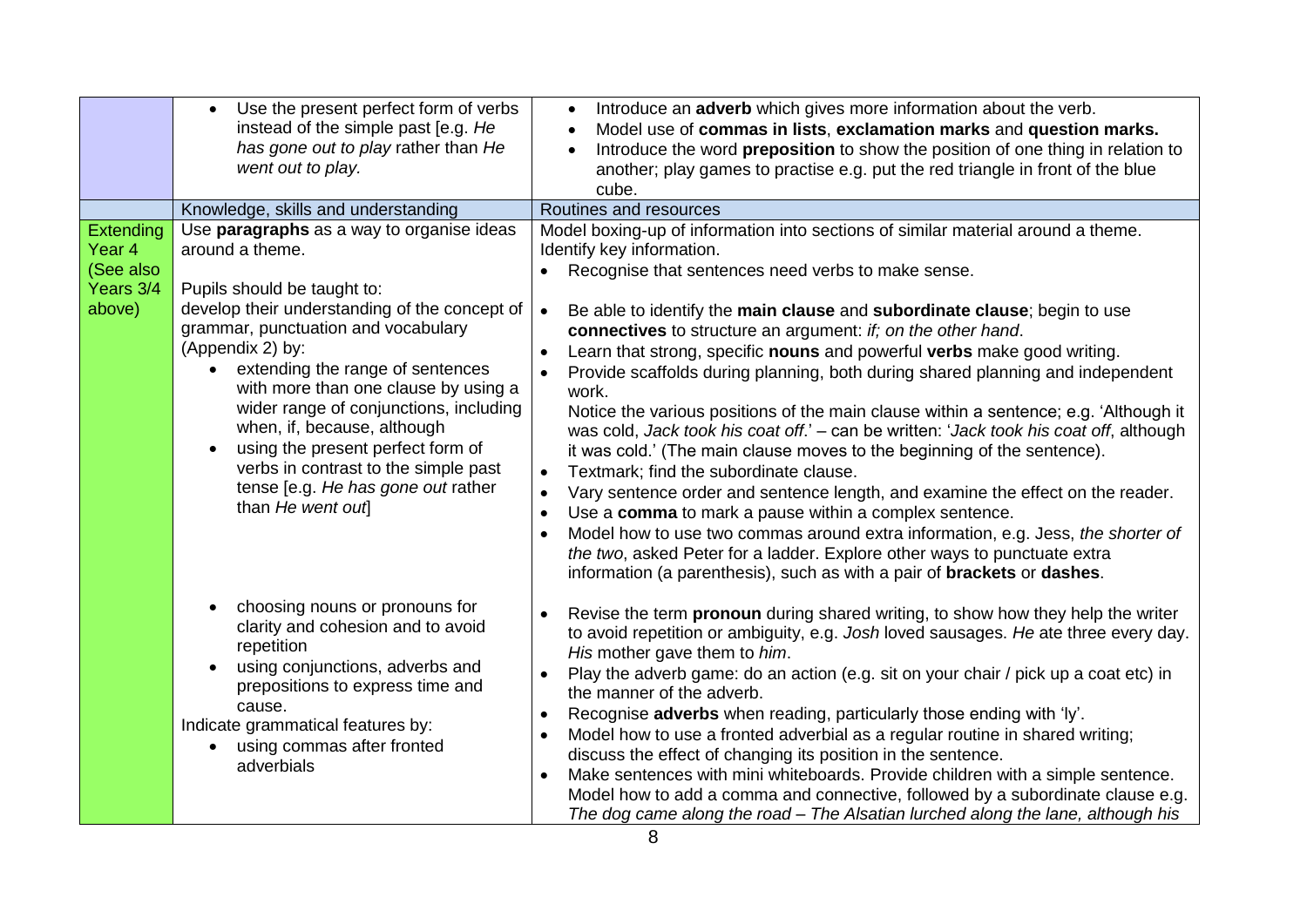|                                                                | Use the present perfect form of verbs<br>instead of the simple past [e.g. He<br>has gone out to play rather than He<br>went out to play.                                                                                                                                                                                                                                                                                                                                                            | Introduce an adverb which gives more information about the verb.<br>$\bullet$<br>Model use of commas in lists, exclamation marks and question marks.<br>$\bullet$<br>Introduce the word preposition to show the position of one thing in relation to<br>another; play games to practise e.g. put the red triangle in front of the blue<br>cube.                                                                                                                                                                                                                                                                                                                                                                                                                                                                                                                                                                                                                                                                                                                                                                                                                                                                                                     |
|----------------------------------------------------------------|-----------------------------------------------------------------------------------------------------------------------------------------------------------------------------------------------------------------------------------------------------------------------------------------------------------------------------------------------------------------------------------------------------------------------------------------------------------------------------------------------------|-----------------------------------------------------------------------------------------------------------------------------------------------------------------------------------------------------------------------------------------------------------------------------------------------------------------------------------------------------------------------------------------------------------------------------------------------------------------------------------------------------------------------------------------------------------------------------------------------------------------------------------------------------------------------------------------------------------------------------------------------------------------------------------------------------------------------------------------------------------------------------------------------------------------------------------------------------------------------------------------------------------------------------------------------------------------------------------------------------------------------------------------------------------------------------------------------------------------------------------------------------|
|                                                                | Knowledge, skills and understanding                                                                                                                                                                                                                                                                                                                                                                                                                                                                 | Routines and resources                                                                                                                                                                                                                                                                                                                                                                                                                                                                                                                                                                                                                                                                                                                                                                                                                                                                                                                                                                                                                                                                                                                                                                                                                              |
| <b>Extending</b><br>Year 4<br>(See also<br>Years 3/4<br>above) | Use paragraphs as a way to organise ideas<br>around a theme.<br>Pupils should be taught to:<br>develop their understanding of the concept of<br>grammar, punctuation and vocabulary<br>(Appendix 2) by:<br>extending the range of sentences<br>with more than one clause by using a<br>wider range of conjunctions, including<br>when, if, because, although<br>using the present perfect form of<br>verbs in contrast to the simple past<br>tense [e.g. He has gone out rather<br>than He went out | Model boxing-up of information into sections of similar material around a theme.<br>Identify key information.<br>Recognise that sentences need verbs to make sense.<br>Be able to identify the main clause and subordinate clause; begin to use<br>$\bullet$<br>connectives to structure an argument: if; on the other hand.<br>Learn that strong, specific nouns and powerful verbs make good writing.<br>Provide scaffolds during planning, both during shared planning and independent<br>$\bullet$<br>work.<br>Notice the various positions of the main clause within a sentence; e.g. 'Although it<br>was cold, Jack took his coat off.' - can be written: 'Jack took his coat off, although<br>it was cold.' (The main clause moves to the beginning of the sentence).<br>Textmark; find the subordinate clause.<br>$\bullet$<br>Vary sentence order and sentence length, and examine the effect on the reader.<br>$\bullet$<br>Use a comma to mark a pause within a complex sentence.<br>$\bullet$<br>Model how to use two commas around extra information, e.g. Jess, the shorter of<br>the two, asked Peter for a ladder. Explore other ways to punctuate extra<br>information (a parenthesis), such as with a pair of brackets or dashes. |
|                                                                | choosing nouns or pronouns for<br>clarity and cohesion and to avoid<br>repetition<br>using conjunctions, adverbs and<br>prepositions to express time and<br>cause.<br>Indicate grammatical features by:<br>using commas after fronted<br>adverbials                                                                                                                                                                                                                                                 | Revise the term pronoun during shared writing, to show how they help the writer<br>to avoid repetition or ambiguity, e.g. Josh loved sausages. He ate three every day.<br>His mother gave them to him.<br>Play the adverb game: do an action (e.g. sit on your chair / pick up a coat etc) in<br>the manner of the adverb.<br>Recognise adverbs when reading, particularly those ending with 'ly'.<br>Model how to use a fronted adverbial as a regular routine in shared writing;<br>discuss the effect of changing its position in the sentence.<br>Make sentences with mini whiteboards. Provide children with a simple sentence.<br>$\bullet$<br>Model how to add a comma and connective, followed by a subordinate clause e.g.<br>The dog came along the road - The Alsatian lurched along the lane, although his                                                                                                                                                                                                                                                                                                                                                                                                                              |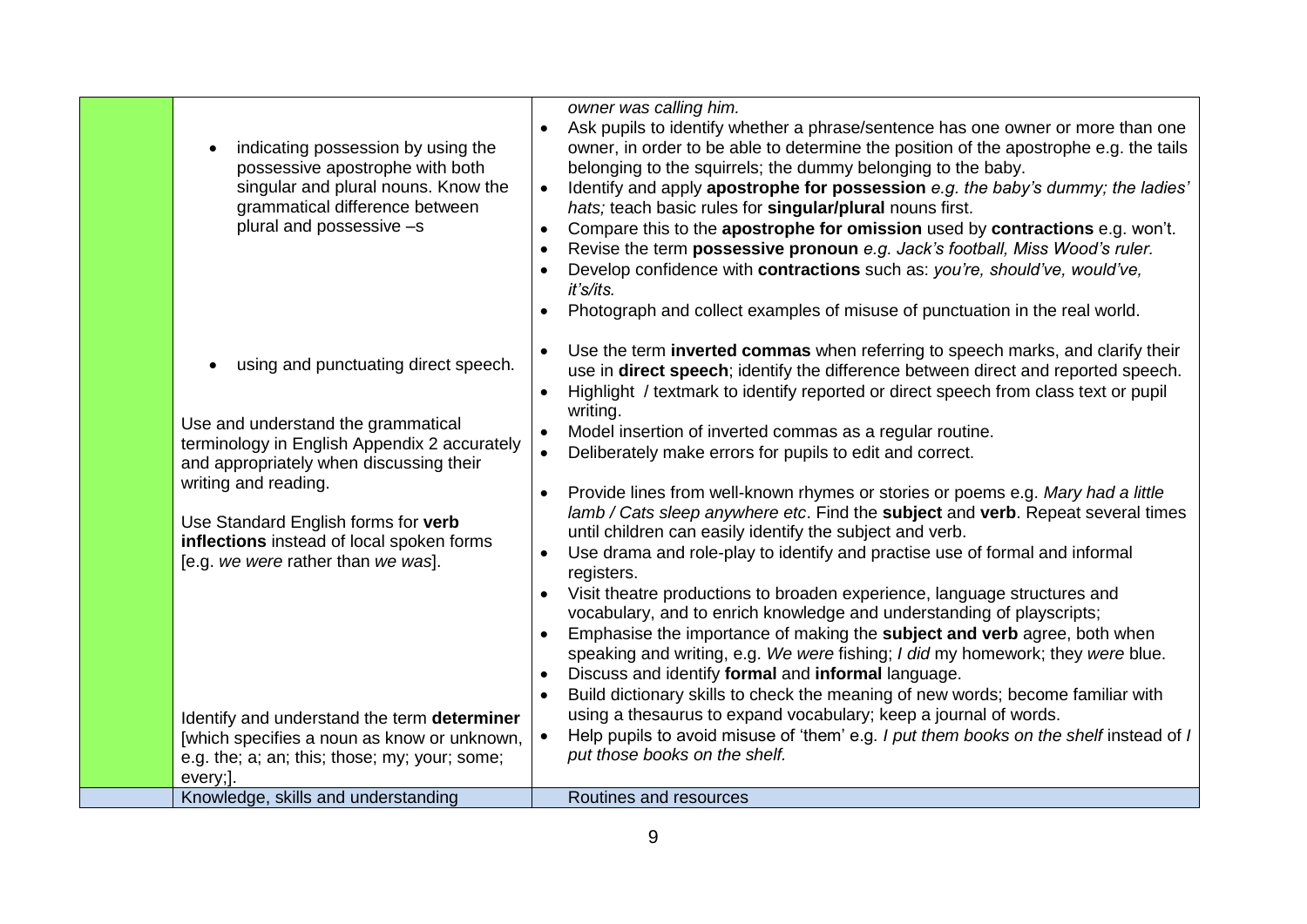| indicating possession by using the<br>possessive apostrophe with both<br>singular and plural nouns. Know the<br>grammatical difference between<br>plural and possessive -s                                                                                                                                                                                                                                                                                                         | $\bullet$<br>$\bullet$<br>$\bullet$<br>$\bullet$                           | owner was calling him.<br>Ask pupils to identify whether a phrase/sentence has one owner or more than one<br>owner, in order to be able to determine the position of the apostrophe e.g. the tails<br>belonging to the squirrels; the dummy belonging to the baby.<br>ldentify and apply apostrophe for possession e.g. the baby's dummy; the ladies'<br>hats; teach basic rules for singular/plural nouns first.<br>Compare this to the apostrophe for omission used by contractions e.g. won't.<br>Revise the term possessive pronoun e.g. Jack's football, Miss Wood's ruler.<br>Develop confidence with contractions such as: you're, should've, would've,<br>it's/its.<br>Photograph and collect examples of misuse of punctuation in the real world.                                                                                                                                                                                                                                                                                                                                                                                                                                                                                                                                                                                                                              |
|------------------------------------------------------------------------------------------------------------------------------------------------------------------------------------------------------------------------------------------------------------------------------------------------------------------------------------------------------------------------------------------------------------------------------------------------------------------------------------|----------------------------------------------------------------------------|-----------------------------------------------------------------------------------------------------------------------------------------------------------------------------------------------------------------------------------------------------------------------------------------------------------------------------------------------------------------------------------------------------------------------------------------------------------------------------------------------------------------------------------------------------------------------------------------------------------------------------------------------------------------------------------------------------------------------------------------------------------------------------------------------------------------------------------------------------------------------------------------------------------------------------------------------------------------------------------------------------------------------------------------------------------------------------------------------------------------------------------------------------------------------------------------------------------------------------------------------------------------------------------------------------------------------------------------------------------------------------------------|
| using and punctuating direct speech.<br>Use and understand the grammatical<br>terminology in English Appendix 2 accurately<br>and appropriately when discussing their<br>writing and reading.<br>Use Standard English forms for verb<br>inflections instead of local spoken forms<br>[e.g. we were rather than we was].<br>Identify and understand the term determiner<br>[which specifies a noun as know or unknown,<br>e.g. the; a; an; this; those; my; your; some;<br>every;]. | $\bullet$<br>$\bullet$<br>$\bullet$<br>$\bullet$<br>$\bullet$<br>$\bullet$ | Use the term inverted commas when referring to speech marks, and clarify their<br>use in direct speech; identify the difference between direct and reported speech.<br>Highlight / textmark to identify reported or direct speech from class text or pupil<br>writing.<br>Model insertion of inverted commas as a regular routine.<br>Deliberately make errors for pupils to edit and correct.<br>Provide lines from well-known rhymes or stories or poems e.g. Mary had a little<br>lamb / Cats sleep anywhere etc. Find the subject and verb. Repeat several times<br>until children can easily identify the subject and verb.<br>Use drama and role-play to identify and practise use of formal and informal<br>registers.<br>Visit theatre productions to broaden experience, language structures and<br>vocabulary, and to enrich knowledge and understanding of playscripts;<br>Emphasise the importance of making the subject and verb agree, both when<br>speaking and writing, e.g. We were fishing; I did my homework; they were blue.<br>Discuss and identify formal and informal language.<br>Build dictionary skills to check the meaning of new words; become familiar with<br>using a thesaurus to expand vocabulary; keep a journal of words.<br>Help pupils to avoid misuse of 'them' e.g. I put them books on the shelf instead of I<br>put those books on the shelf. |
| Knowledge, skills and understanding                                                                                                                                                                                                                                                                                                                                                                                                                                                |                                                                            | Routines and resources                                                                                                                                                                                                                                                                                                                                                                                                                                                                                                                                                                                                                                                                                                                                                                                                                                                                                                                                                                                                                                                                                                                                                                                                                                                                                                                                                                  |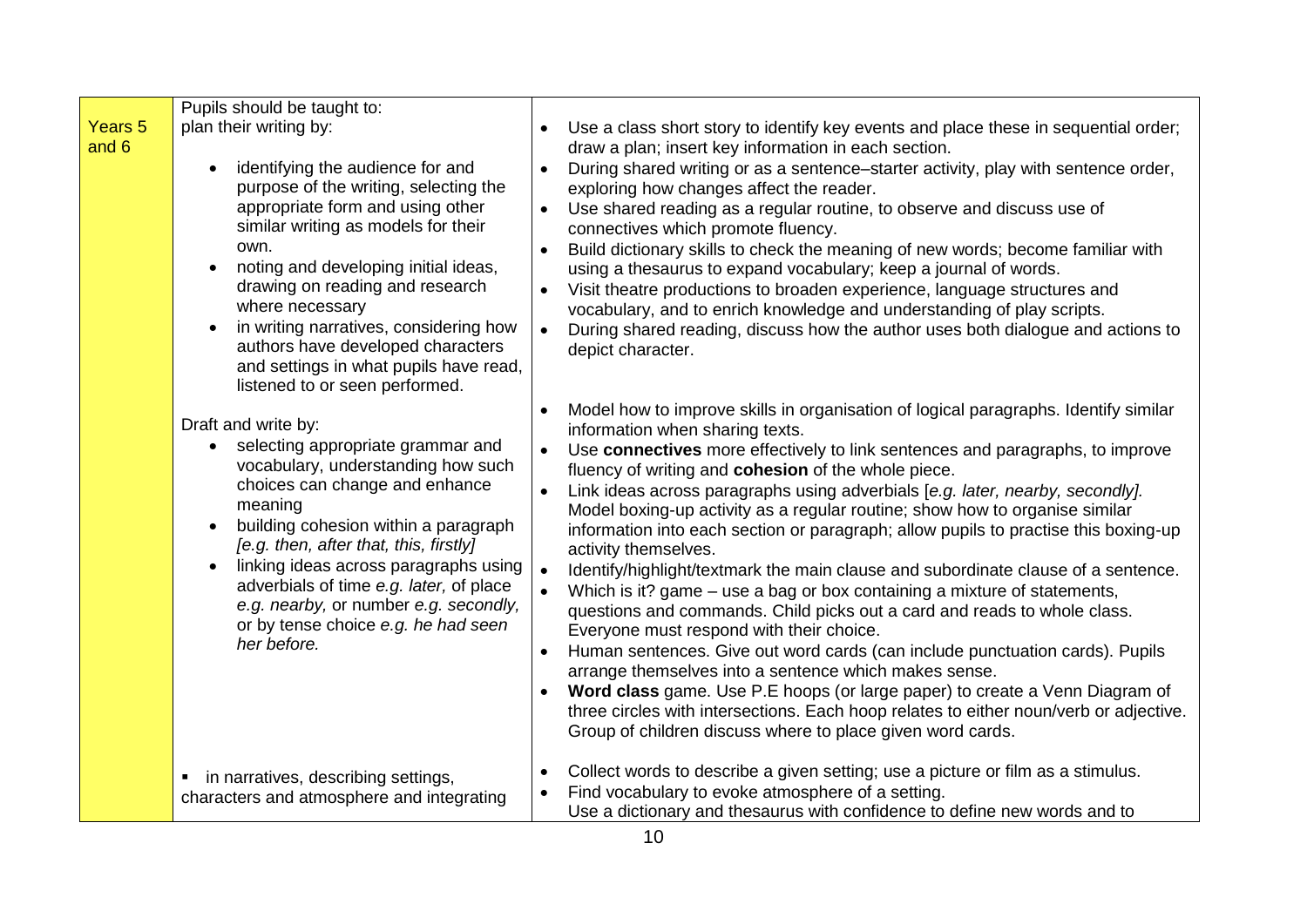|                         | Pupils should be taught to:                                                                                                                                                                                                                                                                                                                                                                                                                                  |                                     |                                                                                                                                                                                                                                                                                                                                                                                                                                                                                                                                                                                                                                                                                                                                                                                                                                                                                                                                                                                                                                                                                                                                                                                                                       |
|-------------------------|--------------------------------------------------------------------------------------------------------------------------------------------------------------------------------------------------------------------------------------------------------------------------------------------------------------------------------------------------------------------------------------------------------------------------------------------------------------|-------------------------------------|-----------------------------------------------------------------------------------------------------------------------------------------------------------------------------------------------------------------------------------------------------------------------------------------------------------------------------------------------------------------------------------------------------------------------------------------------------------------------------------------------------------------------------------------------------------------------------------------------------------------------------------------------------------------------------------------------------------------------------------------------------------------------------------------------------------------------------------------------------------------------------------------------------------------------------------------------------------------------------------------------------------------------------------------------------------------------------------------------------------------------------------------------------------------------------------------------------------------------|
| <b>Years 5</b><br>and 6 | plan their writing by:<br>identifying the audience for and<br>$\bullet$<br>purpose of the writing, selecting the<br>appropriate form and using other<br>similar writing as models for their<br>own.<br>noting and developing initial ideas,<br>drawing on reading and research<br>where necessary<br>in writing narratives, considering how<br>authors have developed characters<br>and settings in what pupils have read,<br>listened to or seen performed. | $\bullet$<br>$\bullet$<br>$\bullet$ | Use a class short story to identify key events and place these in sequential order;<br>draw a plan; insert key information in each section.<br>During shared writing or as a sentence-starter activity, play with sentence order,<br>exploring how changes affect the reader.<br>Use shared reading as a regular routine, to observe and discuss use of<br>connectives which promote fluency.<br>Build dictionary skills to check the meaning of new words; become familiar with<br>using a thesaurus to expand vocabulary; keep a journal of words.<br>Visit theatre productions to broaden experience, language structures and<br>vocabulary, and to enrich knowledge and understanding of play scripts.<br>During shared reading, discuss how the author uses both dialogue and actions to<br>depict character.                                                                                                                                                                                                                                                                                                                                                                                                    |
|                         | Draft and write by:<br>selecting appropriate grammar and<br>vocabulary, understanding how such<br>choices can change and enhance<br>meaning<br>building cohesion within a paragraph<br>[e.g. then, after that, this, firstly]<br>linking ideas across paragraphs using<br>adverbials of time e.g. later, of place<br>e.g. nearby, or number e.g. secondly,<br>or by tense choice e.g. he had seen<br>her before.                                             | $\bullet$                           | Model how to improve skills in organisation of logical paragraphs. Identify similar<br>information when sharing texts.<br>Use connectives more effectively to link sentences and paragraphs, to improve<br>fluency of writing and cohesion of the whole piece.<br>Link ideas across paragraphs using adverbials [e.g. later, nearby, secondly].<br>Model boxing-up activity as a regular routine; show how to organise similar<br>information into each section or paragraph; allow pupils to practise this boxing-up<br>activity themselves.<br>Identify/highlight/textmark the main clause and subordinate clause of a sentence.<br>Which is it? game – use a bag or box containing a mixture of statements,<br>questions and commands. Child picks out a card and reads to whole class.<br>Everyone must respond with their choice.<br>Human sentences. Give out word cards (can include punctuation cards). Pupils<br>arrange themselves into a sentence which makes sense.<br>Word class game. Use P.E hoops (or large paper) to create a Venn Diagram of<br>three circles with intersections. Each hoop relates to either noun/verb or adjective.<br>Group of children discuss where to place given word cards. |
|                         | • in narratives, describing settings,<br>characters and atmosphere and integrating                                                                                                                                                                                                                                                                                                                                                                           |                                     | Collect words to describe a given setting; use a picture or film as a stimulus.<br>Find vocabulary to evoke atmosphere of a setting.<br>Use a dictionary and thesaurus with confidence to define new words and to                                                                                                                                                                                                                                                                                                                                                                                                                                                                                                                                                                                                                                                                                                                                                                                                                                                                                                                                                                                                     |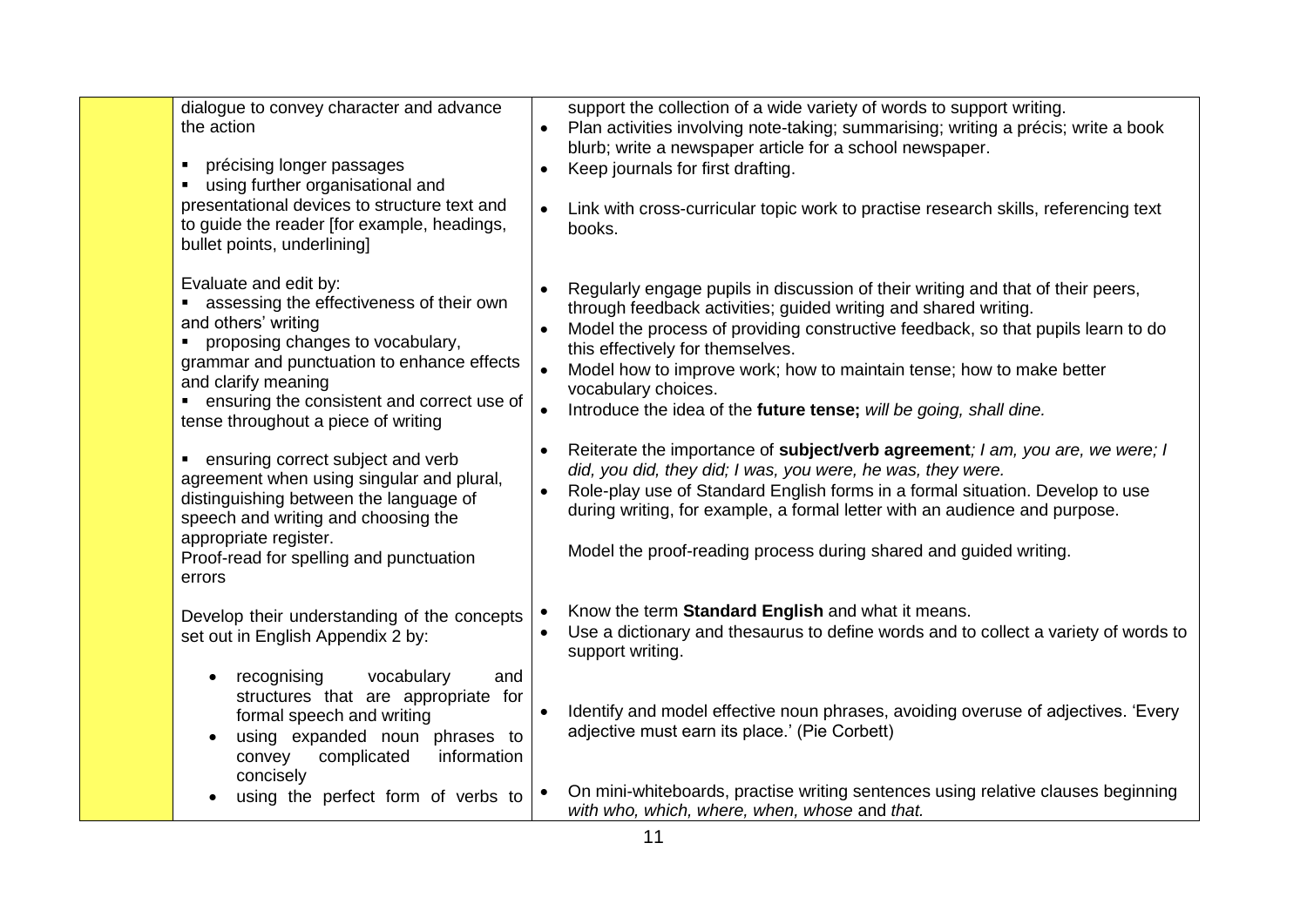| dialogue to convey character and advance<br>the action<br>précising longer passages<br>$\blacksquare$<br>using further organisational and<br>presentational devices to structure text and<br>to guide the reader [for example, headings,<br>bullet points, underlining]                                                                                                                                                                                                                                                                       | $\bullet$<br>$\bullet$<br>$\bullet$                           | support the collection of a wide variety of words to support writing.<br>Plan activities involving note-taking; summarising; writing a précis; write a book<br>blurb; write a newspaper article for a school newspaper.<br>Keep journals for first drafting.<br>Link with cross-curricular topic work to practise research skills, referencing text<br>books.                                                                                                                                                                                                                                                                                                                                                                                                                                                                       |
|-----------------------------------------------------------------------------------------------------------------------------------------------------------------------------------------------------------------------------------------------------------------------------------------------------------------------------------------------------------------------------------------------------------------------------------------------------------------------------------------------------------------------------------------------|---------------------------------------------------------------|-------------------------------------------------------------------------------------------------------------------------------------------------------------------------------------------------------------------------------------------------------------------------------------------------------------------------------------------------------------------------------------------------------------------------------------------------------------------------------------------------------------------------------------------------------------------------------------------------------------------------------------------------------------------------------------------------------------------------------------------------------------------------------------------------------------------------------------|
| Evaluate and edit by:<br>• assessing the effectiveness of their own<br>and others' writing<br>proposing changes to vocabulary,<br>grammar and punctuation to enhance effects<br>and clarify meaning<br>• ensuring the consistent and correct use of<br>tense throughout a piece of writing<br>• ensuring correct subject and verb<br>agreement when using singular and plural,<br>distinguishing between the language of<br>speech and writing and choosing the<br>appropriate register.<br>Proof-read for spelling and punctuation<br>errors | $\bullet$<br>$\bullet$<br>$\bullet$<br>$\bullet$<br>$\bullet$ | Regularly engage pupils in discussion of their writing and that of their peers,<br>through feedback activities; guided writing and shared writing.<br>Model the process of providing constructive feedback, so that pupils learn to do<br>this effectively for themselves.<br>Model how to improve work; how to maintain tense; how to make better<br>vocabulary choices.<br>Introduce the idea of the future tense; will be going, shall dine.<br>Reiterate the importance of subject/verb agreement; I am, you are, we were; I<br>did, you did, they did; I was, you were, he was, they were.<br>Role-play use of Standard English forms in a formal situation. Develop to use<br>during writing, for example, a formal letter with an audience and purpose.<br>Model the proof-reading process during shared and guided writing. |
| Develop their understanding of the concepts<br>set out in English Appendix 2 by:                                                                                                                                                                                                                                                                                                                                                                                                                                                              | $\bullet$<br>$\bullet$                                        | Know the term Standard English and what it means.<br>Use a dictionary and thesaurus to define words and to collect a variety of words to<br>support writing.                                                                                                                                                                                                                                                                                                                                                                                                                                                                                                                                                                                                                                                                        |
| recognising<br>vocabulary<br>and<br>$\bullet$<br>structures that are appropriate for<br>formal speech and writing<br>using expanded noun phrases to<br>complicated<br>information<br>convey<br>concisely                                                                                                                                                                                                                                                                                                                                      | $\bullet$                                                     | Identify and model effective noun phrases, avoiding overuse of adjectives. 'Every<br>adjective must earn its place.' (Pie Corbett)                                                                                                                                                                                                                                                                                                                                                                                                                                                                                                                                                                                                                                                                                                  |
| using the perfect form of verbs to                                                                                                                                                                                                                                                                                                                                                                                                                                                                                                            |                                                               | On mini-whiteboards, practise writing sentences using relative clauses beginning<br>with who, which, where, when, whose and that.                                                                                                                                                                                                                                                                                                                                                                                                                                                                                                                                                                                                                                                                                                   |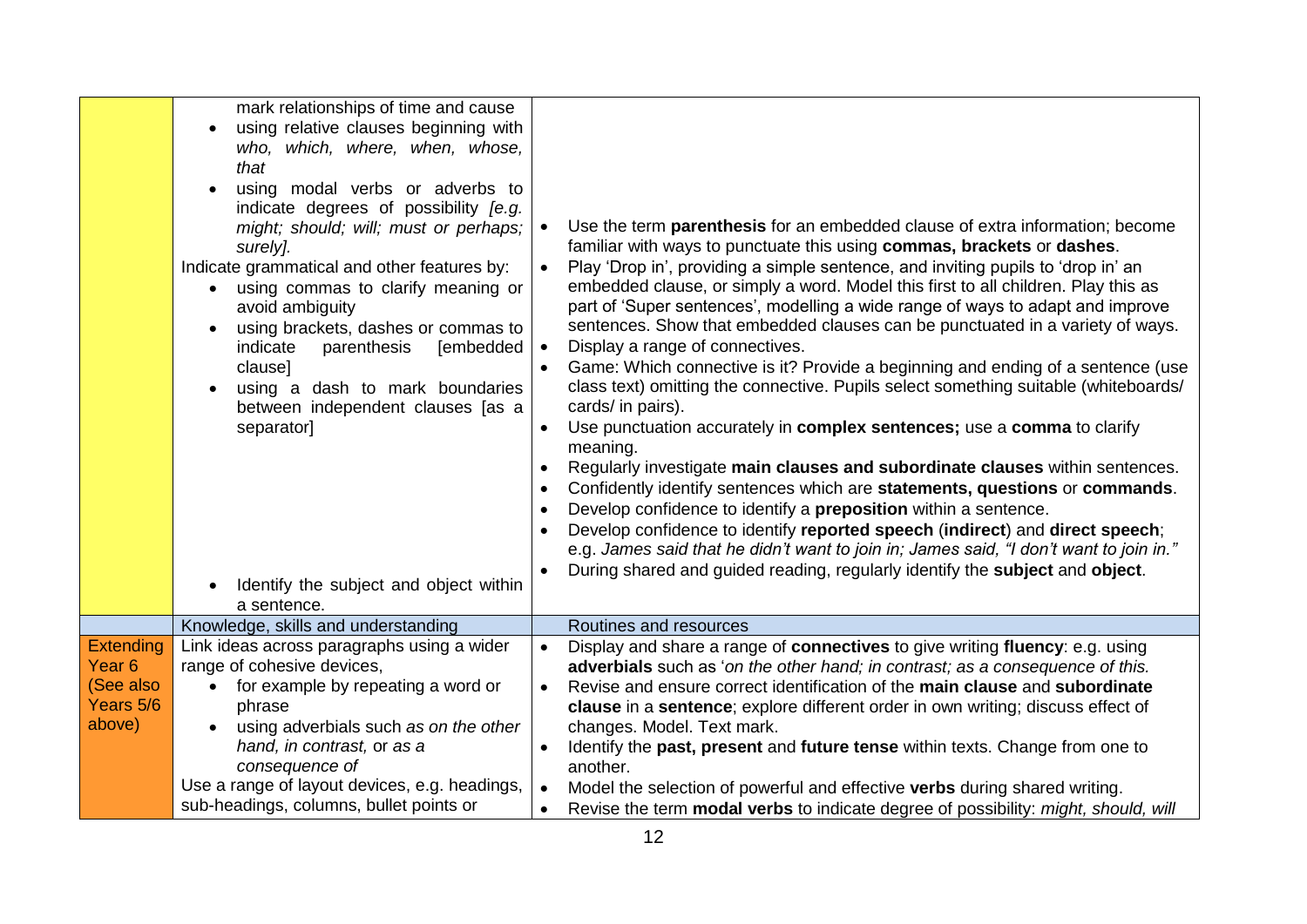|                                                                           | mark relationships of time and cause<br>using relative clauses beginning with<br>who, which, where, when, whose,<br>that<br>using modal verbs or adverbs to<br>indicate degrees of possibility [e.g.<br>might; should; will; must or perhaps;<br>surely].<br>Indicate grammatical and other features by:<br>using commas to clarify meaning or<br>avoid ambiguity<br>using brackets, dashes or commas to<br>indicate<br>parenthesis<br><b>[embedded</b><br>clause]<br>using a dash to mark boundaries<br>$\bullet$<br>between independent clauses [as a<br>separator]<br>Identify the subject and object within<br>a sentence. | $\bullet$<br>$\bullet$              | Use the term parenthesis for an embedded clause of extra information; become<br>familiar with ways to punctuate this using commas, brackets or dashes.<br>Play 'Drop in', providing a simple sentence, and inviting pupils to 'drop in' an<br>embedded clause, or simply a word. Model this first to all children. Play this as<br>part of 'Super sentences', modelling a wide range of ways to adapt and improve<br>sentences. Show that embedded clauses can be punctuated in a variety of ways.<br>Display a range of connectives.<br>Game: Which connective is it? Provide a beginning and ending of a sentence (use<br>class text) omitting the connective. Pupils select something suitable (whiteboards/<br>cards/ in pairs).<br>Use punctuation accurately in complex sentences; use a comma to clarify<br>meaning.<br>Regularly investigate main clauses and subordinate clauses within sentences.<br>Confidently identify sentences which are statements, questions or commands.<br>Develop confidence to identify a preposition within a sentence.<br>Develop confidence to identify reported speech (indirect) and direct speech;<br>e.g. James said that he didn't want to join in; James said, "I don't want to join in."<br>During shared and guided reading, regularly identify the subject and object. |
|---------------------------------------------------------------------------|--------------------------------------------------------------------------------------------------------------------------------------------------------------------------------------------------------------------------------------------------------------------------------------------------------------------------------------------------------------------------------------------------------------------------------------------------------------------------------------------------------------------------------------------------------------------------------------------------------------------------------|-------------------------------------|-------------------------------------------------------------------------------------------------------------------------------------------------------------------------------------------------------------------------------------------------------------------------------------------------------------------------------------------------------------------------------------------------------------------------------------------------------------------------------------------------------------------------------------------------------------------------------------------------------------------------------------------------------------------------------------------------------------------------------------------------------------------------------------------------------------------------------------------------------------------------------------------------------------------------------------------------------------------------------------------------------------------------------------------------------------------------------------------------------------------------------------------------------------------------------------------------------------------------------------------------------------------------------------------------------------------------|
|                                                                           | Knowledge, skills and understanding                                                                                                                                                                                                                                                                                                                                                                                                                                                                                                                                                                                            |                                     | Routines and resources                                                                                                                                                                                                                                                                                                                                                                                                                                                                                                                                                                                                                                                                                                                                                                                                                                                                                                                                                                                                                                                                                                                                                                                                                                                                                                  |
| <b>Extending</b><br>Year <sub>6</sub><br>(See also<br>Years 5/6<br>above) | Link ideas across paragraphs using a wider<br>range of cohesive devices,<br>for example by repeating a word or<br>$\bullet$<br>phrase<br>using adverbials such as on the other<br>hand, in contrast, or as a<br>consequence of<br>Use a range of layout devices, e.g. headings,<br>sub-headings, columns, bullet points or                                                                                                                                                                                                                                                                                                     | $\bullet$<br>$\bullet$<br>$\bullet$ | Display and share a range of connectives to give writing fluency: e.g. using<br>adverbials such as 'on the other hand; in contrast; as a consequence of this.<br>Revise and ensure correct identification of the main clause and subordinate<br>clause in a sentence; explore different order in own writing; discuss effect of<br>changes. Model. Text mark.<br>Identify the past, present and future tense within texts. Change from one to<br>another.<br>Model the selection of powerful and effective verbs during shared writing.<br>Revise the term modal verbs to indicate degree of possibility: might, should, will                                                                                                                                                                                                                                                                                                                                                                                                                                                                                                                                                                                                                                                                                           |